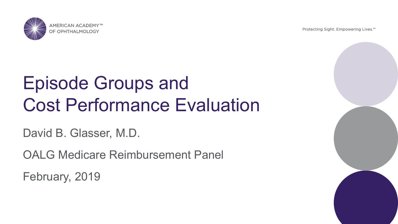)F OPHTHAI MOI

Protecting Sight. Empowering Lives.<sup>™</sup>

# Episode Groups and Cost Performance Evaluation

David B. Glasser, M.D.

OALG Medicare Reimbursement Panel

February, 2019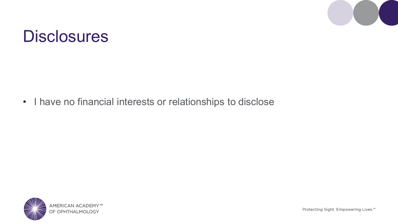

#### **Disclosures**

• I have no financial interests or relationships to disclose

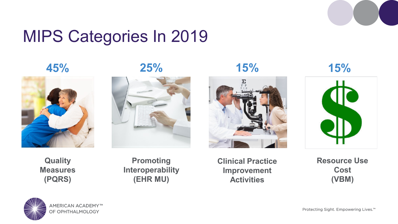

#### MIPS Categories In 2019











**Quality Measures (PQRS)**

**Promoting Interoperability (EHR MU)**

**Clinical Practice Improvement Activities**

**Resource Use Cost (VBM)**

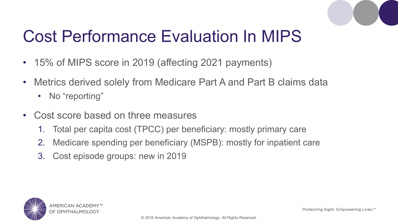

#### Cost Performance Evaluation In MIPS

- 15% of MIPS score in 2019 (affecting 2021 payments)
- Metrics derived solely from Medicare Part A and Part B claims data
	- No "reporting"
- Cost score based on three measures
	- 1. Total per capita cost (TPCC) per beneficiary: mostly primary care
	- 2. Medicare spending per beneficiary (MSPB): mostly for inpatient care
	- 3. Cost episode groups: new in 2019

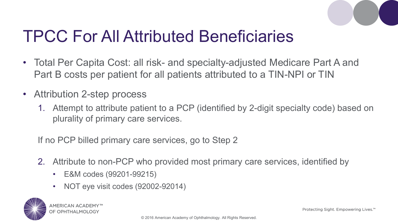

#### TPCC For All Attributed Beneficiaries

- Total Per Capita Cost: all risk- and specialty-adjusted Medicare Part A and Part B costs per patient for all patients attributed to a TIN-NPI or TIN
- Attribution 2-step process
	- 1. Attempt to attribute patient to a PCP (identified by 2-digit specialty code) based on plurality of primary care services.

If no PCP billed primary care services, go to Step 2

- 2. Attribute to non-PCP who provided most primary care services, identified by
	- E&M codes (99201-99215)
	- NOT eye visit codes (92002-92014)



Protecting Sight, Empowering Lives.<sup>™</sup>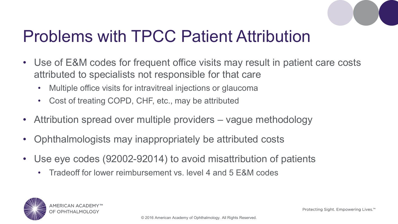

#### Problems with TPCC Patient Attribution

- Use of E&M codes for frequent office visits may result in patient care costs attributed to specialists not responsible for that care
	- Multiple office visits for intravitreal injections or glaucoma
	- Cost of treating COPD, CHF, etc., may be attributed
- Attribution spread over multiple providers vague methodology
- Ophthalmologists may inappropriately be attributed costs
- Use eye codes (92002-92014) to avoid misattribution of patients
	- Tradeoff for lower reimbursement vs. level 4 and 5 E&M codes



Protecting Sight, Empowering Lives.<sup>™</sup>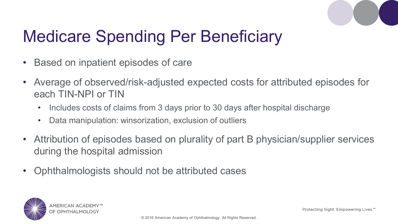

## Medicare Spending Per Beneficiary

- Based on inpatient episodes of care
- Average of observed/risk-adjusted expected costs for attributed episodes for each TIN-NPI or TIN
	- Includes costs of claims from 3 days prior to 30 days after hospital discharge
	- Data manipulation: winsorization, exclusion of outliers
- Attribution of episodes based on plurality of part B physician/supplier services during the hospital admission
- Ophthalmologists should not be attributed cases

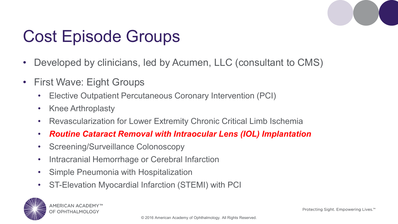

### Cost Episode Groups

- Developed by clinicians, led by Acumen, LLC (consultant to CMS)
- First Wave: Eight Groups
	- Elective Outpatient Percutaneous Coronary Intervention (PCI)
	- Knee Arthroplasty
	- Revascularization for Lower Extremity Chronic Critical Limb Ischemia
	- *Routine Cataract Removal with Intraocular Lens (IOL) Implantation*
	- Screening/Surveillance Colonoscopy
	- Intracranial Hemorrhage or Cerebral Infarction
	- Simple Pneumonia with Hospitalization
	- ST-Elevation Myocardial Infarction (STEMI) with PCI

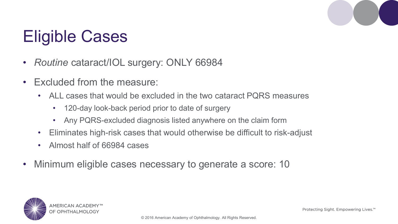# Eligible Cases

- *Routine* cataract/IOL surgery: ONLY 66984
- Excluded from the measure:
	- ALL cases that would be excluded in the two cataract PQRS measures
		- 120-day look-back period prior to date of surgery
		- Any PQRS-excluded diagnosis listed anywhere on the claim form
	- Eliminates high-risk cases that would otherwise be difficult to risk-adjust
	- Almost half of 66984 cases
- Minimum eligible cases necessary to generate a score: 10

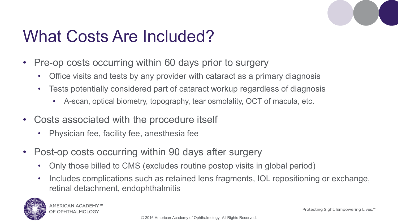

#### What Costs Are Included?

- Pre-op costs occurring within 60 days prior to surgery
	- Office visits and tests by any provider with cataract as a primary diagnosis
	- Tests potentially considered part of cataract workup regardless of diagnosis
		- A-scan, optical biometry, topography, tear osmolality, OCT of macula, etc.
- Costs associated with the procedure itself
	- Physician fee, facility fee, anesthesia fee
- Post-op costs occurring within 90 days after surgery
	- Only those billed to CMS (excludes routine postop visits in global period)
	- Includes complications such as retained lens fragments, IOL repositioning or exchange, retinal detachment, endophthalmitis

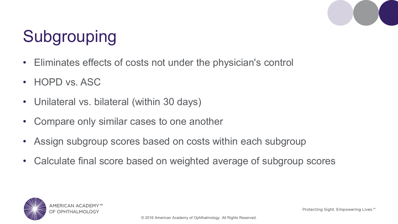

# **Subgrouping**

- Eliminates effects of costs not under the physician's control
- HOPD vs. ASC
- Unilateral vs. bilateral (within 30 days)
- Compare only similar cases to one another
- Assign subgroup scores based on costs within each subgroup
- Calculate final score based on weighted average of subgroup scores



Protecting Sight, Empowering Lives.<sup>™</sup>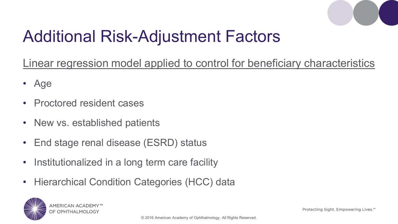

#### Additional Risk-Adjustment Factors

Linear regression model applied to control for beneficiary characteristics

- Age
- Proctored resident cases
- New vs. established patients
- End stage renal disease (ESRD) status
- Institutionalized in a long term care facility
- Hierarchical Condition Categories (HCC) data